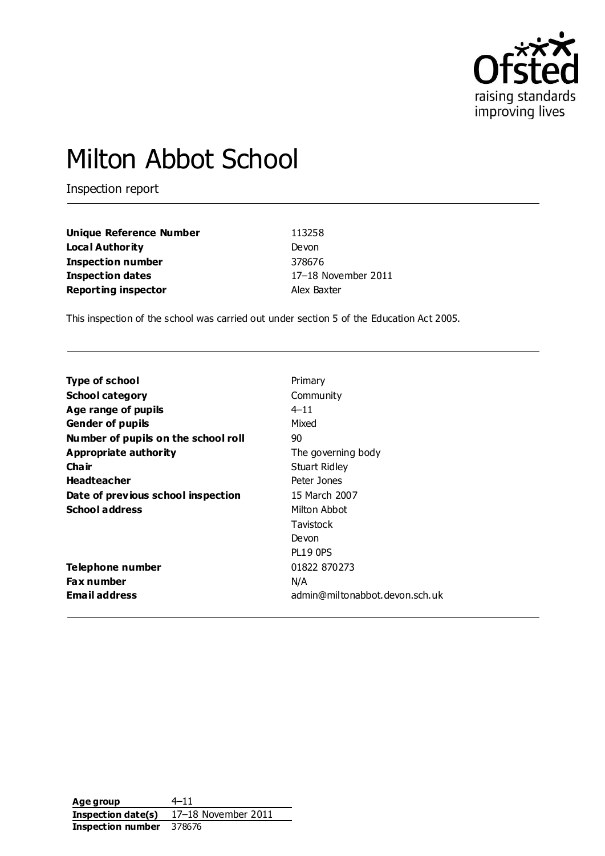

# Milton Abbot School

Inspection report

| Unique Reference Number    | 113258              |
|----------------------------|---------------------|
| Local Authority            | Devon               |
| <b>Inspection number</b>   | 378676              |
| <b>Inspection dates</b>    | 17-18 November 2011 |
| <b>Reporting inspector</b> | Alex Baxter         |

This inspection of the school was carried out under section 5 of the Education Act 2005.

| <b>Type of school</b>               | Primary                        |
|-------------------------------------|--------------------------------|
| <b>School category</b>              | Community                      |
| Age range of pupils                 | $4 - 11$                       |
| <b>Gender of pupils</b>             | Mixed                          |
| Number of pupils on the school roll | 90                             |
| Appropriate authority               | The governing body             |
| Cha ir                              | Stuart Ridley                  |
| <b>Headteacher</b>                  | Peter Jones                    |
| Date of previous school inspection  | 15 March 2007                  |
| <b>School address</b>               | Milton Abbot                   |
|                                     | Tavistock                      |
|                                     | Devon                          |
|                                     | <b>PL19 OPS</b>                |
| Telephone number                    | 01822 870273                   |
| <b>Fax number</b>                   | N/A                            |
| <b>Email address</b>                | admin@miltonabbot.devon.sch.uk |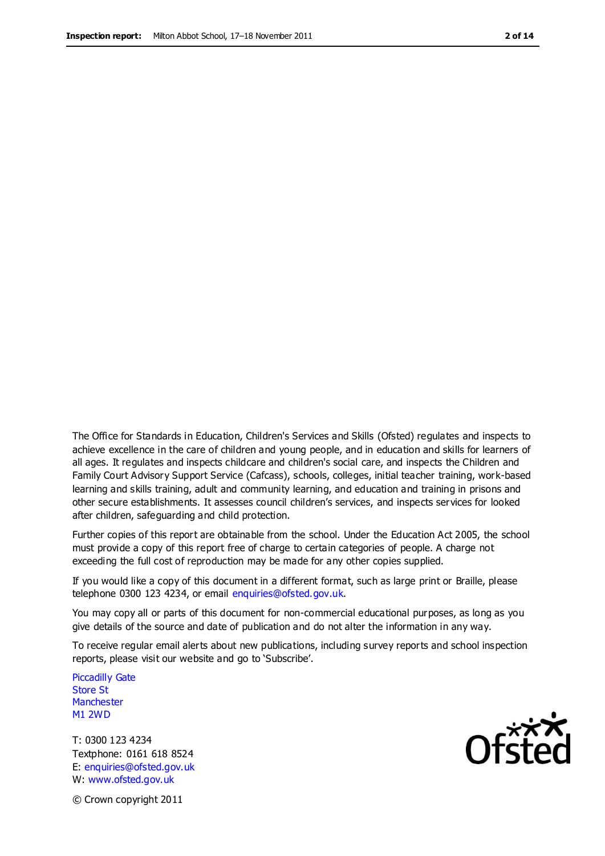The Office for Standards in Education, Children's Services and Skills (Ofsted) regulates and inspects to achieve excellence in the care of children and young people, and in education and skills for learners of all ages. It regulates and inspects childcare and children's social care, and inspects the Children and Family Court Advisory Support Service (Cafcass), schools, colleges, initial teacher training, work-based learning and skills training, adult and community learning, and education and training in prisons and other secure establishments. It assesses council children's services, and inspects services for looked after children, safeguarding and child protection.

Further copies of this report are obtainable from the school. Under the Education Act 2005, the school must provide a copy of this report free of charge to certain categories of people. A charge not exceeding the full cost of reproduction may be made for any other copies supplied.

If you would like a copy of this document in a different format, such as large print or Braille, please telephone 0300 123 4234, or email enquiries@ofsted.gov.uk.

You may copy all or parts of this document for non-commercial educational purposes, as long as you give details of the source and date of publication and do not alter the information in any way.

To receive regular email alerts about new publications, including survey reports and school inspection reports, please visit our website and go to 'Subscribe'.

Piccadilly Gate Store St **Manchester** M1 2WD

T: 0300 123 4234 Textphone: 0161 618 8524 E: enquiries@ofsted.gov.uk W: www.ofsted.gov.uk

**Ofsted** 

© Crown copyright 2011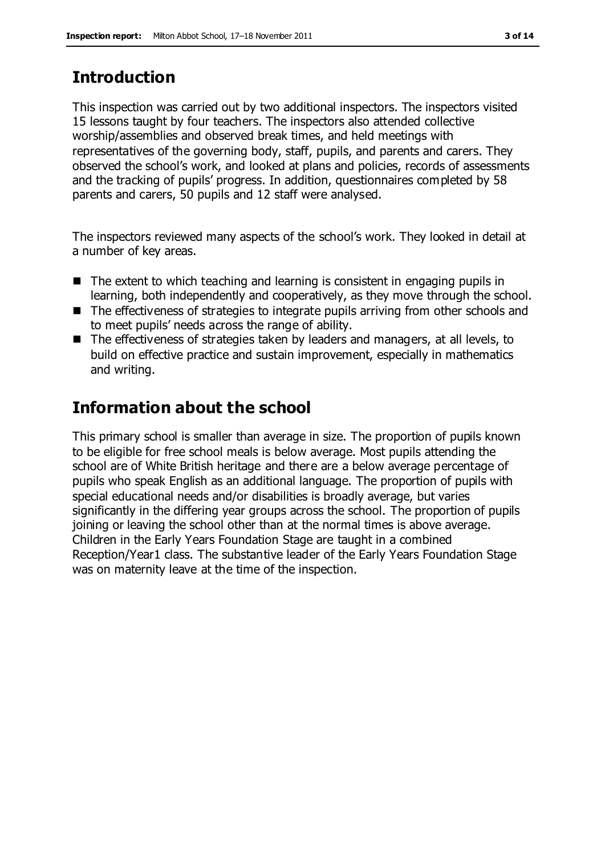# **Introduction**

This inspection was carried out by two additional inspectors. The inspectors visited 15 lessons taught by four teachers. The inspectors also attended collective worship/assemblies and observed break times, and held meetings with representatives of the governing body, staff, pupils, and parents and carers. They observed the school's work, and looked at plans and policies, records of assessments and the tracking of pupils' progress. In addition, questionnaires completed by 58 parents and carers, 50 pupils and 12 staff were analysed.

The inspectors reviewed many aspects of the school's work. They looked in detail at a number of key areas.

- The extent to which teaching and learning is consistent in engaging pupils in learning, both independently and cooperatively, as they move through the school.
- The effectiveness of strategies to integrate pupils arriving from other schools and to meet pupils' needs across the range of ability.
- The effectiveness of strategies taken by leaders and managers, at all levels, to build on effective practice and sustain improvement, especially in mathematics and writing.

# **Information about the school**

This primary school is smaller than average in size. The proportion of pupils known to be eligible for free school meals is below average. Most pupils attending the school are of White British heritage and there are a below average percentage of pupils who speak English as an additional language. The proportion of pupils with special educational needs and/or disabilities is broadly average, but varies significantly in the differing year groups across the school. The proportion of pupils joining or leaving the school other than at the normal times is above average. Children in the Early Years Foundation Stage are taught in a combined Reception/Year1 class. The substantive leader of the Early Years Foundation Stage was on maternity leave at the time of the inspection.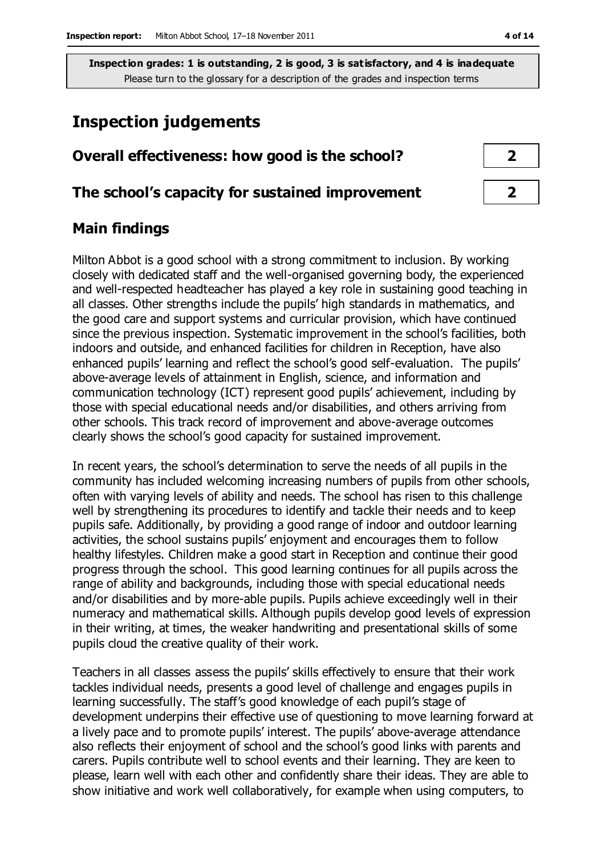# **Inspection judgements**

# **Overall effectiveness: how good is the school? 2**

### **The school's capacity for sustained improvement 2**

# **Main findings**

Milton Abbot is a good school with a strong commitment to inclusion. By working closely with dedicated staff and the well-organised governing body, the experienced and well-respected headteacher has played a key role in sustaining good teaching in all classes. Other strengths include the pupils' high standards in mathematics, and the good care and support systems and curricular provision, which have continued since the previous inspection. Systematic improvement in the school's facilities, both indoors and outside, and enhanced facilities for children in Reception, have also enhanced pupils' learning and reflect the school's good self-evaluation. The pupils' above-average levels of attainment in English, science, and information and communication technology (ICT) represent good pupils' achievement, including by those with special educational needs and/or disabilities, and others arriving from other schools. This track record of improvement and above-average outcomes clearly shows the school's good capacity for sustained improvement.

In recent years, the school's determination to serve the needs of all pupils in the community has included welcoming increasing numbers of pupils from other schools, often with varying levels of ability and needs. The school has risen to this challenge well by strengthening its procedures to identify and tackle their needs and to keep pupils safe. Additionally, by providing a good range of indoor and outdoor learning activities, the school sustains pupils' enjoyment and encourages them to follow healthy lifestyles. Children make a good start in Reception and continue their good progress through the school. This good learning continues for all pupils across the range of ability and backgrounds, including those with special educational needs and/or disabilities and by more-able pupils. Pupils achieve exceedingly well in their numeracy and mathematical skills. Although pupils develop good levels of expression in their writing, at times, the weaker handwriting and presentational skills of some pupils cloud the creative quality of their work.

Teachers in all classes assess the pupils' skills effectively to ensure that their work tackles individual needs, presents a good level of challenge and engages pupils in learning successfully. The staff's good knowledge of each pupil's stage of development underpins their effective use of questioning to move learning forward at a lively pace and to promote pupils' interest. The pupils' above-average attendance also reflects their enjoyment of school and the school's good links with parents and carers. Pupils contribute well to school events and their learning. They are keen to please, learn well with each other and confidently share their ideas. They are able to show initiative and work well collaboratively, for example when using computers, to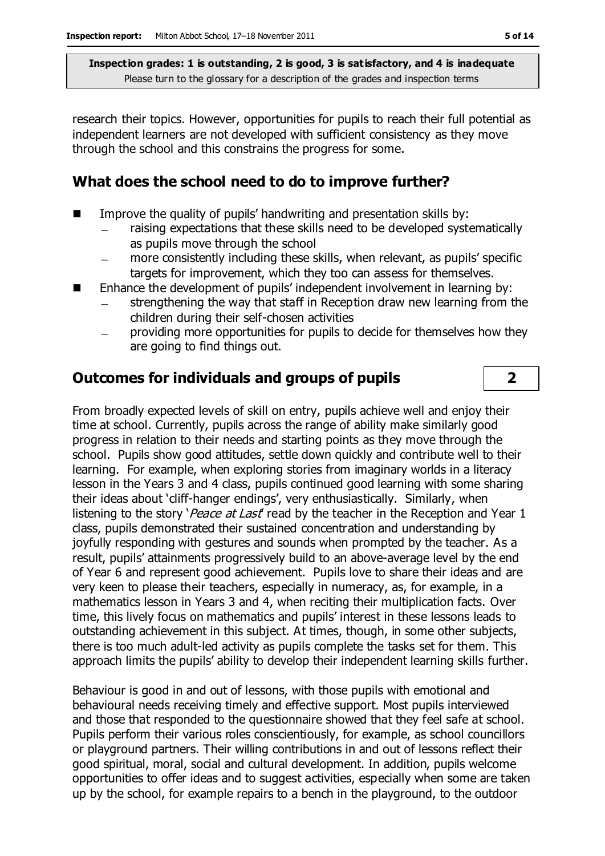research their topics. However, opportunities for pupils to reach their full potential as independent learners are not developed with sufficient consistency as they move through the school and this constrains the progress for some.

### **What does the school need to do to improve further?**

- Improve the quality of pupils' handwriting and presentation skills by:
	- raising expectations that these skills need to be developed systematically as pupils move through the school
	- more consistently including these skills, when relevant, as pupils' specific  $\equiv$ targets for improvement, which they too can assess for themselves.
- Enhance the development of pupils' independent involvement in learning by:
	- strengthening the way that staff in Reception draw new learning from the children during their self-chosen activities
	- providing more opportunities for pupils to decide for themselves how they are going to find things out.

# **Outcomes for individuals and groups of pupils 2**

From broadly expected levels of skill on entry, pupils achieve well and enjoy their time at school. Currently, pupils across the range of ability make similarly good progress in relation to their needs and starting points as they move through the school. Pupils show good attitudes, settle down quickly and contribute well to their learning. For example, when exploring stories from imaginary worlds in a literacy lesson in the Years 3 and 4 class, pupils continued good learning with some sharing their ideas about 'cliff-hanger endings', very enthusiastically. Similarly, when listening to the story 'Peace at Last' read by the teacher in the Reception and Year 1 class, pupils demonstrated their sustained concentration and understanding by joyfully responding with gestures and sounds when prompted by the teacher. As a result, pupils' attainments progressively build to an above-average level by the end of Year 6 and represent good achievement. Pupils love to share their ideas and are very keen to please their teachers, especially in numeracy, as, for example, in a mathematics lesson in Years 3 and 4, when reciting their multiplication facts. Over time, this lively focus on mathematics and pupils' interest in these lessons leads to outstanding achievement in this subject. At times, though, in some other subjects, there is too much adult-led activity as pupils complete the tasks set for them. This approach limits the pupils' ability to develop their independent learning skills further.

Behaviour is good in and out of lessons, with those pupils with emotional and behavioural needs receiving timely and effective support. Most pupils interviewed and those that responded to the questionnaire showed that they feel safe at school. Pupils perform their various roles conscientiously, for example, as school councillors or playground partners. Their willing contributions in and out of lessons reflect their good spiritual, moral, social and cultural development. In addition, pupils welcome opportunities to offer ideas and to suggest activities, especially when some are taken up by the school, for example repairs to a bench in the playground, to the outdoor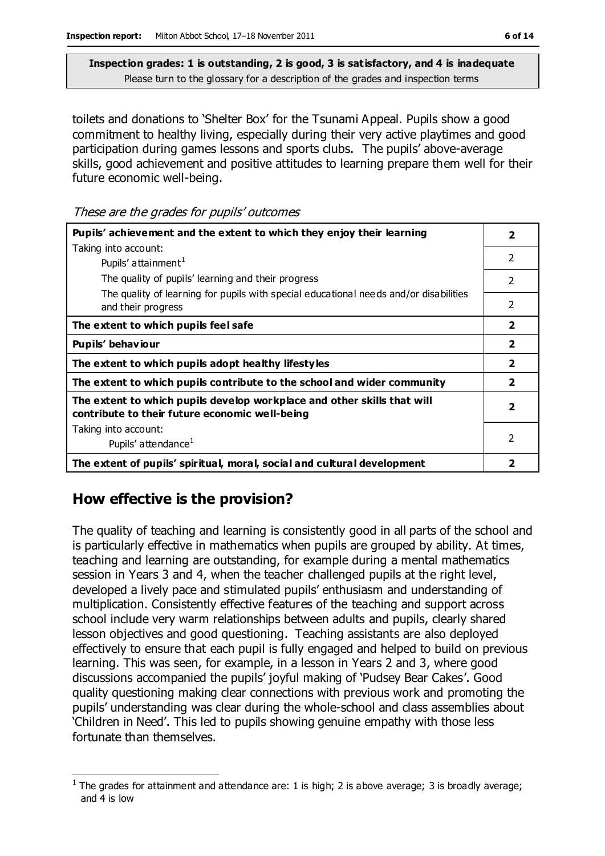toilets and donations to 'Shelter Box' for the Tsunami Appeal. Pupils show a good commitment to healthy living, especially during their very active playtimes and good participation during games lessons and sports clubs. The pupils' above-average skills, good achievement and positive attitudes to learning prepare them well for their future economic well-being.

These are the grades for pupils' outcomes

| Pupils' achievement and the extent to which they enjoy their learning                                                     |                         |
|---------------------------------------------------------------------------------------------------------------------------|-------------------------|
| Taking into account:                                                                                                      |                         |
| Pupils' attainment <sup>1</sup>                                                                                           | 2                       |
| The quality of pupils' learning and their progress                                                                        | $\overline{2}$          |
| The quality of learning for pupils with special educational needs and/or disabilities<br>and their progress               | 2                       |
| The extent to which pupils feel safe                                                                                      | $\overline{2}$          |
| Pupils' behaviour                                                                                                         | $\overline{\mathbf{2}}$ |
| The extent to which pupils adopt healthy lifestyles                                                                       | $\overline{\mathbf{2}}$ |
| The extent to which pupils contribute to the school and wider community                                                   | $\overline{\mathbf{2}}$ |
| The extent to which pupils develop workplace and other skills that will<br>contribute to their future economic well-being | $\overline{\mathbf{2}}$ |
| Taking into account:                                                                                                      |                         |
| Pupils' attendance <sup>1</sup>                                                                                           | 2                       |
| The extent of pupils' spiritual, moral, social and cultural development                                                   | 2                       |

# **How effective is the provision?**

The quality of teaching and learning is consistently good in all parts of the school and is particularly effective in mathematics when pupils are grouped by ability. At times, teaching and learning are outstanding, for example during a mental mathematics session in Years 3 and 4, when the teacher challenged pupils at the right level, developed a lively pace and stimulated pupils' enthusiasm and understanding of multiplication. Consistently effective features of the teaching and support across school include very warm relationships between adults and pupils, clearly shared lesson objectives and good questioning. Teaching assistants are also deployed effectively to ensure that each pupil is fully engaged and helped to build on previous learning. This was seen, for example, in a lesson in Years 2 and 3, where good discussions accompanied the pupils' joyful making of 'Pudsey Bear Cakes'. Good quality questioning making clear connections with previous work and promoting the pupils' understanding was clear during the whole-school and class assemblies about 'Children in Need'. This led to pupils showing genuine empathy with those less fortunate than themselves.

 $\overline{a}$ <sup>1</sup> The grades for attainment and attendance are: 1 is high; 2 is above average; 3 is broadly average; and 4 is low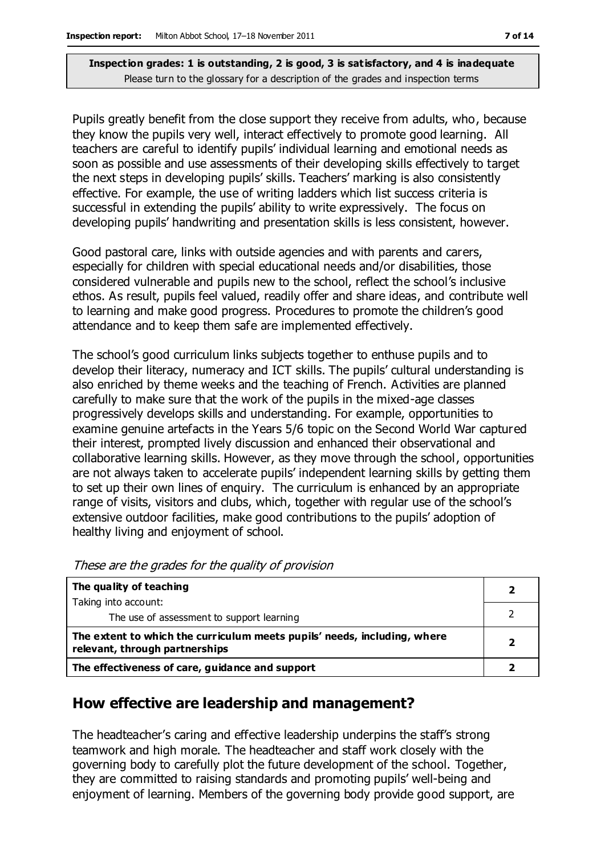Pupils greatly benefit from the close support they receive from adults, who, because they know the pupils very well, interact effectively to promote good learning. All teachers are careful to identify pupils' individual learning and emotional needs as soon as possible and use assessments of their developing skills effectively to target the next steps in developing pupils' skills. Teachers' marking is also consistently effective. For example, the use of writing ladders which list success criteria is successful in extending the pupils' ability to write expressively. The focus on developing pupils' handwriting and presentation skills is less consistent, however.

Good pastoral care, links with outside agencies and with parents and carers, especially for children with special educational needs and/or disabilities, those considered vulnerable and pupils new to the school, reflect the school's inclusive ethos. As result, pupils feel valued, readily offer and share ideas, and contribute well to learning and make good progress. Procedures to promote the children's good attendance and to keep them safe are implemented effectively.

The school's good curriculum links subjects together to enthuse pupils and to develop their literacy, numeracy and ICT skills. The pupils' cultural understanding is also enriched by theme weeks and the teaching of French. Activities are planned carefully to make sure that the work of the pupils in the mixed-age classes progressively develops skills and understanding. For example, opportunities to examine genuine artefacts in the Years 5/6 topic on the Second World War captured their interest, prompted lively discussion and enhanced their observational and collaborative learning skills. However, as they move through the school, opportunities are not always taken to accelerate pupils' independent learning skills by getting them to set up their own lines of enquiry. The curriculum is enhanced by an appropriate range of visits, visitors and clubs, which, together with regular use of the school's extensive outdoor facilities, make good contributions to the pupils' adoption of healthy living and enjoyment of school.

| The quality of teaching                                                                                    |  |
|------------------------------------------------------------------------------------------------------------|--|
| Taking into account:                                                                                       |  |
| The use of assessment to support learning                                                                  |  |
| The extent to which the curriculum meets pupils' needs, including, where<br>relevant, through partnerships |  |
| The effectiveness of care, guidance and support                                                            |  |

These are the grades for the quality of provision

### **How effective are leadership and management?**

The headteacher's caring and effective leadership underpins the staff's strong teamwork and high morale. The headteacher and staff work closely with the governing body to carefully plot the future development of the school. Together, they are committed to raising standards and promoting pupils' well-being and enjoyment of learning. Members of the governing body provide good support, are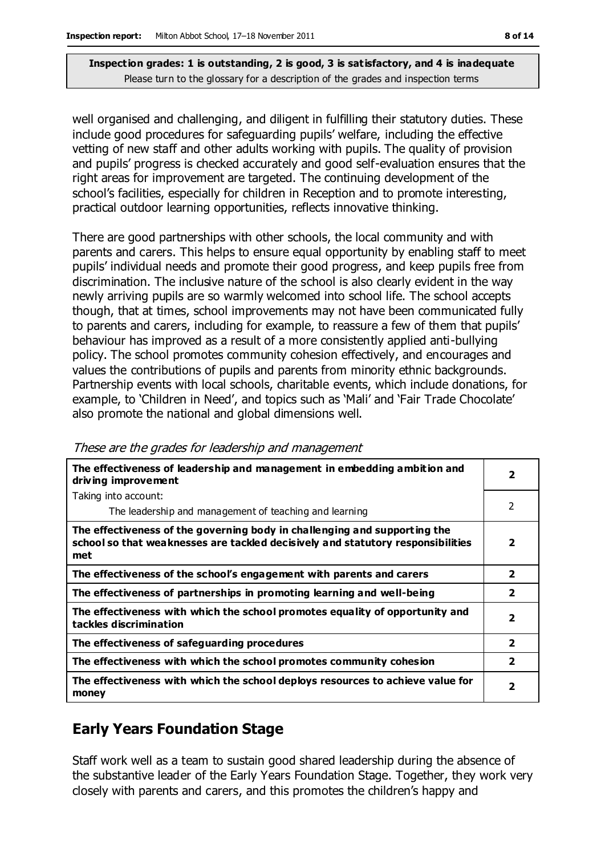well organised and challenging, and diligent in fulfilling their statutory duties. These include good procedures for safeguarding pupils' welfare, including the effective vetting of new staff and other adults working with pupils. The quality of provision and pupils' progress is checked accurately and good self-evaluation ensures that the right areas for improvement are targeted. The continuing development of the school's facilities, especially for children in Reception and to promote interesting, practical outdoor learning opportunities, reflects innovative thinking.

There are good partnerships with other schools, the local community and with parents and carers. This helps to ensure equal opportunity by enabling staff to meet pupils' individual needs and promote their good progress, and keep pupils free from discrimination. The inclusive nature of the school is also clearly evident in the way newly arriving pupils are so warmly welcomed into school life. The school accepts though, that at times, school improvements may not have been communicated fully to parents and carers, including for example, to reassure a few of them that pupils' behaviour has improved as a result of a more consistently applied anti-bullying policy. The school promotes community cohesion effectively, and encourages and values the contributions of pupils and parents from minority ethnic backgrounds. Partnership events with local schools, charitable events, which include donations, for example, to 'Children in Need', and topics such as 'Mali' and 'Fair Trade Chocolate' also promote the national and global dimensions well.

| The effectiveness of leadership and management in embedding ambition and<br>driving improvement                                                                     | $\overline{\mathbf{2}}$ |
|---------------------------------------------------------------------------------------------------------------------------------------------------------------------|-------------------------|
| Taking into account:                                                                                                                                                |                         |
| The leadership and management of teaching and learning                                                                                                              | 2                       |
| The effectiveness of the governing body in challenging and supporting the<br>school so that weaknesses are tackled decisively and statutory responsibilities<br>met | 2                       |
| The effectiveness of the school's engagement with parents and carers                                                                                                | 2                       |
| The effectiveness of partnerships in promoting learning and well-being                                                                                              | $\overline{\mathbf{2}}$ |
| The effectiveness with which the school promotes equality of opportunity and<br>tackles discrimination                                                              | 2                       |
| The effectiveness of safeguarding procedures                                                                                                                        | 2                       |
| The effectiveness with which the school promotes community cohesion                                                                                                 | $\overline{\mathbf{2}}$ |
| The effectiveness with which the school deploys resources to achieve value for<br>money                                                                             | $\overline{\mathbf{2}}$ |

These are the grades for leadership and management

# **Early Years Foundation Stage**

Staff work well as a team to sustain good shared leadership during the absence of the substantive leader of the Early Years Foundation Stage. Together, they work very closely with parents and carers, and this promotes the children's happy and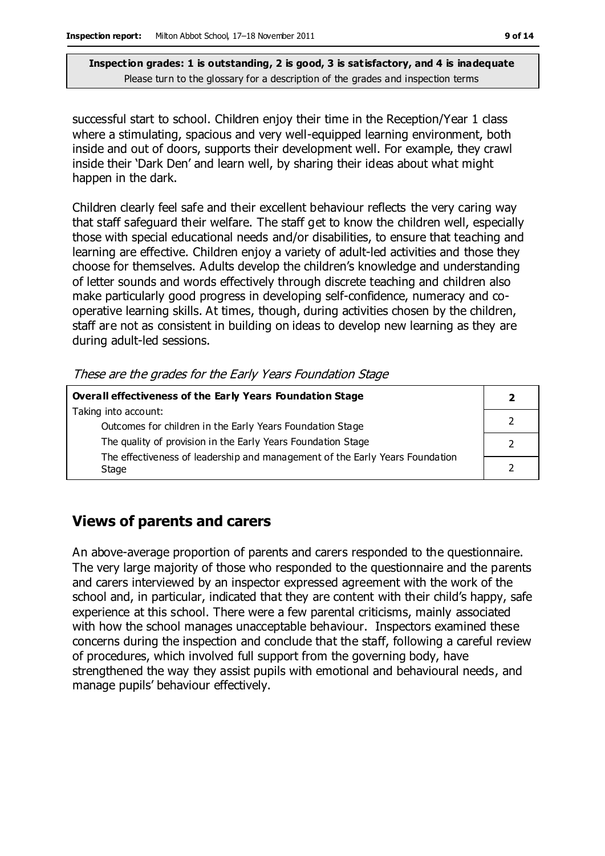successful start to school. Children enjoy their time in the Reception/Year 1 class where a stimulating, spacious and very well-equipped learning environment, both inside and out of doors, supports their development well. For example, they crawl inside their 'Dark Den' and learn well, by sharing their ideas about what might happen in the dark.

Children clearly feel safe and their excellent behaviour reflects the very caring way that staff safeguard their welfare. The staff get to know the children well, especially those with special educational needs and/or disabilities, to ensure that teaching and learning are effective. Children enjoy a variety of adult-led activities and those they choose for themselves. Adults develop the children's knowledge and understanding of letter sounds and words effectively through discrete teaching and children also make particularly good progress in developing self-confidence, numeracy and cooperative learning skills. At times, though, during activities chosen by the children, staff are not as consistent in building on ideas to develop new learning as they are during adult-led sessions.

These are the grades for the Early Years Foundation Stage

| Overall effectiveness of the Early Years Foundation Stage                    |  |
|------------------------------------------------------------------------------|--|
| Taking into account:                                                         |  |
| Outcomes for children in the Early Years Foundation Stage                    |  |
| The quality of provision in the Early Years Foundation Stage                 |  |
| The effectiveness of leadership and management of the Early Years Foundation |  |
| Stage                                                                        |  |

### **Views of parents and carers**

An above-average proportion of parents and carers responded to the questionnaire. The very large majority of those who responded to the questionnaire and the parents and carers interviewed by an inspector expressed agreement with the work of the school and, in particular, indicated that they are content with their child's happy, safe experience at this school. There were a few parental criticisms, mainly associated with how the school manages unacceptable behaviour. Inspectors examined these concerns during the inspection and conclude that the staff, following a careful review of procedures, which involved full support from the governing body, have strengthened the way they assist pupils with emotional and behavioural needs, and manage pupils' behaviour effectively.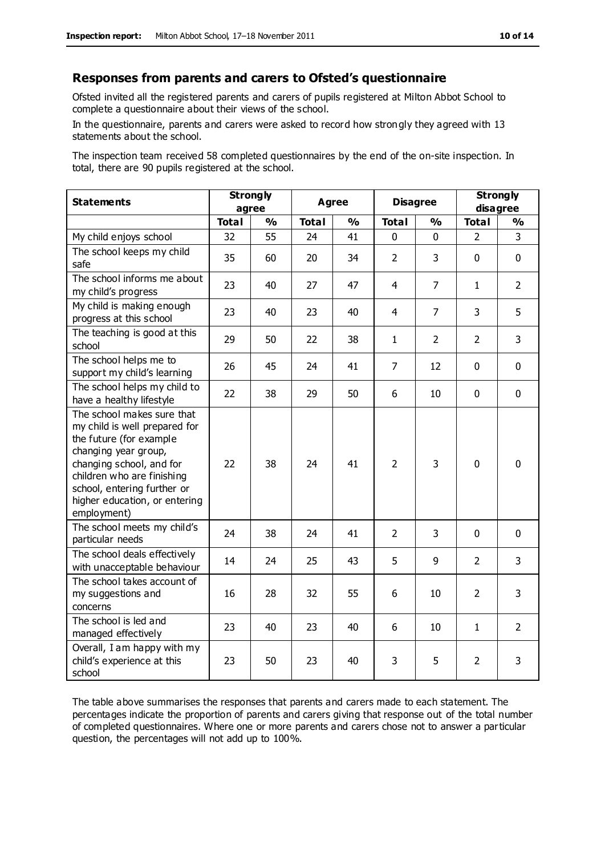#### **Responses from parents and carers to Ofsted's questionnaire**

Ofsted invited all the registered parents and carers of pupils registered at Milton Abbot School to complete a questionnaire about their views of the school.

In the questionnaire, parents and carers were asked to record how strongly they agreed with 13 statements about the school.

The inspection team received 58 completed questionnaires by the end of the on-site inspection. In total, there are 90 pupils registered at the school.

| <b>Statements</b>                                                                                                                                                                                                                                       | <b>Strongly</b><br>agree |               | Agree        |               | <b>Disagree</b> |                | <b>Strongly</b><br>disagree |                |
|---------------------------------------------------------------------------------------------------------------------------------------------------------------------------------------------------------------------------------------------------------|--------------------------|---------------|--------------|---------------|-----------------|----------------|-----------------------------|----------------|
|                                                                                                                                                                                                                                                         | <b>Total</b>             | $\frac{1}{2}$ | <b>Total</b> | $\frac{1}{2}$ | <b>Total</b>    | %              | <b>Total</b>                | %              |
| My child enjoys school                                                                                                                                                                                                                                  | 32                       | 55            | 24           | 41            | $\mathbf{0}$    | 0              | $\overline{2}$              | 3              |
| The school keeps my child<br>safe                                                                                                                                                                                                                       | 35                       | 60            | 20           | 34            | $\overline{2}$  | 3              | $\mathbf 0$                 | $\mathbf 0$    |
| The school informs me about<br>my child's progress                                                                                                                                                                                                      | 23                       | 40            | 27           | 47            | 4               | $\overline{7}$ | $\mathbf{1}$                | $\overline{2}$ |
| My child is making enough<br>progress at this school                                                                                                                                                                                                    | 23                       | 40            | 23           | 40            | 4               | $\overline{7}$ | 3                           | 5              |
| The teaching is good at this<br>school                                                                                                                                                                                                                  | 29                       | 50            | 22           | 38            | $\mathbf{1}$    | 2              | $\overline{2}$              | $\overline{3}$ |
| The school helps me to<br>support my child's learning                                                                                                                                                                                                   | 26                       | 45            | 24           | 41            | $\overline{7}$  | 12             | $\Omega$                    | $\mathbf 0$    |
| The school helps my child to<br>have a healthy lifestyle                                                                                                                                                                                                | 22                       | 38            | 29           | 50            | 6               | 10             | $\mathbf 0$                 | $\mathbf 0$    |
| The school makes sure that<br>my child is well prepared for<br>the future (for example<br>changing year group,<br>changing school, and for<br>children who are finishing<br>school, entering further or<br>higher education, or entering<br>employment) | 22                       | 38            | 24           | 41            | $\overline{2}$  | 3              | $\mathbf{0}$                | $\mathbf 0$    |
| The school meets my child's<br>particular needs                                                                                                                                                                                                         | 24                       | 38            | 24           | 41            | $\overline{2}$  | 3              | $\mathbf 0$                 | $\mathbf 0$    |
| The school deals effectively<br>with unacceptable behaviour                                                                                                                                                                                             | 14                       | 24            | 25           | 43            | 5               | 9              | $\overline{2}$              | 3              |
| The school takes account of<br>my suggestions and<br>concerns                                                                                                                                                                                           | 16                       | 28            | 32           | 55            | 6               | 10             | $\overline{2}$              | 3              |
| The school is led and<br>managed effectively                                                                                                                                                                                                            | 23                       | 40            | 23           | 40            | 6               | 10             | $\mathbf{1}$                | $\overline{2}$ |
| Overall, I am happy with my<br>child's experience at this<br>school                                                                                                                                                                                     | 23                       | 50            | 23           | 40            | 3               | 5              | $\overline{2}$              | 3              |

The table above summarises the responses that parents and carers made to each statement. The percentages indicate the proportion of parents and carers giving that response out of the total number of completed questionnaires. Where one or more parents and carers chose not to answer a particular question, the percentages will not add up to 100%.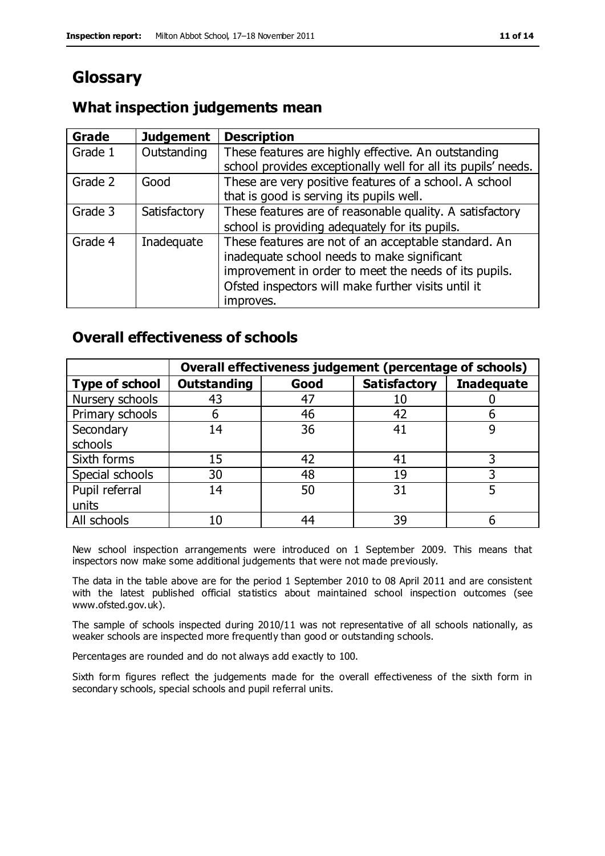# **Glossary**

# **What inspection judgements mean**

| <b>Grade</b> | <b>Judgement</b> | <b>Description</b>                                            |
|--------------|------------------|---------------------------------------------------------------|
| Grade 1      | Outstanding      | These features are highly effective. An outstanding           |
|              |                  | school provides exceptionally well for all its pupils' needs. |
| Grade 2      | Good             | These are very positive features of a school. A school        |
|              |                  | that is good is serving its pupils well.                      |
| Grade 3      | Satisfactory     | These features are of reasonable quality. A satisfactory      |
|              |                  | school is providing adequately for its pupils.                |
| Grade 4      | Inadequate       | These features are not of an acceptable standard. An          |
|              |                  | inadequate school needs to make significant                   |
|              |                  | improvement in order to meet the needs of its pupils.         |
|              |                  | Ofsted inspectors will make further visits until it           |
|              |                  | improves.                                                     |

### **Overall effectiveness of schools**

|                       | Overall effectiveness judgement (percentage of schools) |      |                     |                   |
|-----------------------|---------------------------------------------------------|------|---------------------|-------------------|
| <b>Type of school</b> | <b>Outstanding</b>                                      | Good | <b>Satisfactory</b> | <b>Inadequate</b> |
| Nursery schools       | 43                                                      | 47   | 10                  |                   |
| Primary schools       | b                                                       | 46   | 42                  |                   |
| Secondary             | 14                                                      | 36   | 41                  |                   |
| schools               |                                                         |      |                     |                   |
| Sixth forms           | 15                                                      | 42   | 41                  | 3                 |
| Special schools       | 30                                                      | 48   | 19                  |                   |
| Pupil referral        | 14                                                      | 50   | 31                  |                   |
| units                 |                                                         |      |                     |                   |
| All schools           | 10                                                      | 44   | 39                  |                   |

New school inspection arrangements were introduced on 1 September 2009. This means that inspectors now make some additional judgements that were not made previously.

The data in the table above are for the period 1 September 2010 to 08 April 2011 and are consistent with the latest published official statistics about maintained school inspection outcomes (see www.ofsted.gov.uk).

The sample of schools inspected during 2010/11 was not representative of all schools nationally, as weaker schools are inspected more frequently than good or outstanding schools.

Percentages are rounded and do not always add exactly to 100.

Sixth form figures reflect the judgements made for the overall effectiveness of the sixth form in secondary schools, special schools and pupil referral units.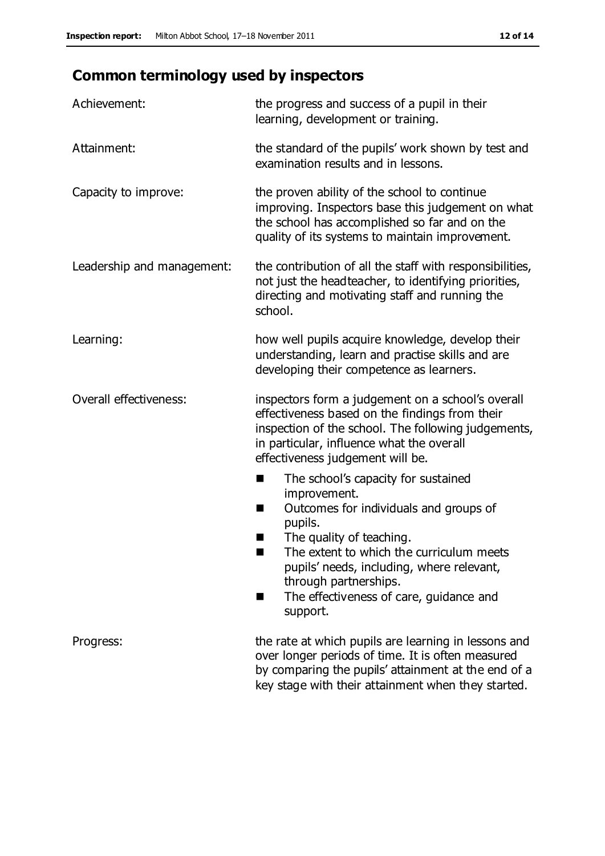# **Common terminology used by inspectors**

| Achievement:               | the progress and success of a pupil in their<br>learning, development or training.                                                                                                                                                                                                                                           |
|----------------------------|------------------------------------------------------------------------------------------------------------------------------------------------------------------------------------------------------------------------------------------------------------------------------------------------------------------------------|
| Attainment:                | the standard of the pupils' work shown by test and<br>examination results and in lessons.                                                                                                                                                                                                                                    |
| Capacity to improve:       | the proven ability of the school to continue<br>improving. Inspectors base this judgement on what<br>the school has accomplished so far and on the<br>quality of its systems to maintain improvement.                                                                                                                        |
| Leadership and management: | the contribution of all the staff with responsibilities,<br>not just the headteacher, to identifying priorities,<br>directing and motivating staff and running the<br>school.                                                                                                                                                |
| Learning:                  | how well pupils acquire knowledge, develop their<br>understanding, learn and practise skills and are<br>developing their competence as learners.                                                                                                                                                                             |
| Overall effectiveness:     | inspectors form a judgement on a school's overall<br>effectiveness based on the findings from their<br>inspection of the school. The following judgements,<br>in particular, influence what the overall<br>effectiveness judgement will be.                                                                                  |
|                            | The school's capacity for sustained<br>improvement.<br>Outcomes for individuals and groups of<br>H<br>pupils.<br>The quality of teaching.<br>ш<br>The extent to which the curriculum meets<br>pupils' needs, including, where relevant,<br>through partnerships.<br>The effectiveness of care, guidance and<br>ш<br>support. |
| Progress:                  | the rate at which pupils are learning in lessons and<br>over longer periods of time. It is often measured<br>by comparing the pupils' attainment at the end of a<br>key stage with their attainment when they started.                                                                                                       |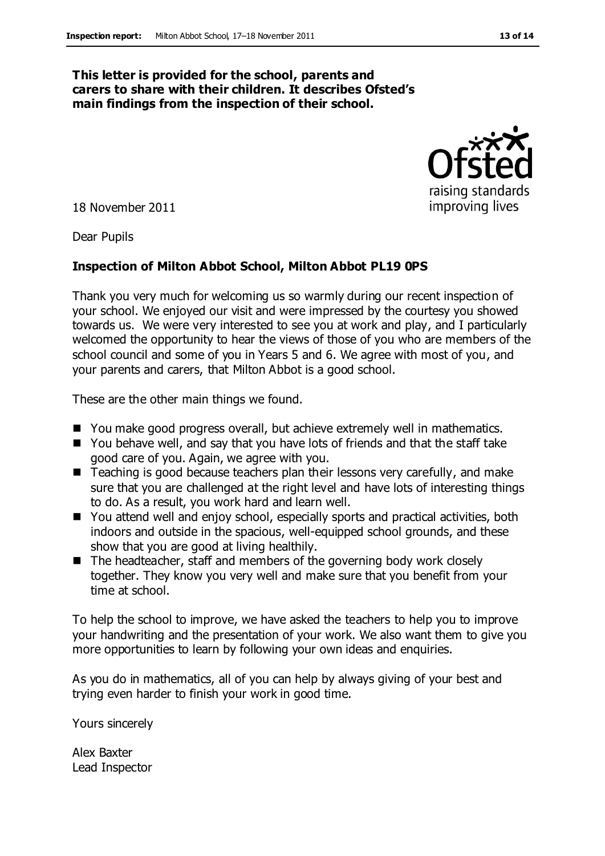#### **This letter is provided for the school, parents and carers to share with their children. It describes Ofsted's main findings from the inspection of their school.**

18 November 2011

Dear Pupils

#### **Inspection of Milton Abbot School, Milton Abbot PL19 0PS**

Thank you very much for welcoming us so warmly during our recent inspection of your school. We enjoyed our visit and were impressed by the courtesy you showed towards us. We were very interested to see you at work and play, and I particularly welcomed the opportunity to hear the views of those of you who are members of the school council and some of you in Years 5 and 6. We agree with most of you, and your parents and carers, that Milton Abbot is a good school.

These are the other main things we found.

- You make good progress overall, but achieve extremely well in mathematics.
- You behave well, and say that you have lots of friends and that the staff take good care of you. Again, we agree with you.
- Teaching is good because teachers plan their lessons very carefully, and make sure that you are challenged at the right level and have lots of interesting things to do. As a result, you work hard and learn well.
- You attend well and enjoy school, especially sports and practical activities, both indoors and outside in the spacious, well-equipped school grounds, and these show that you are good at living healthily.
- $\blacksquare$  The headteacher, staff and members of the governing body work closely together. They know you very well and make sure that you benefit from your time at school.

To help the school to improve, we have asked the teachers to help you to improve your handwriting and the presentation of your work. We also want them to give you more opportunities to learn by following your own ideas and enquiries.

As you do in mathematics, all of you can help by always giving of your best and trying even harder to finish your work in good time.

Yours sincerely

Alex Baxter Lead Inspector